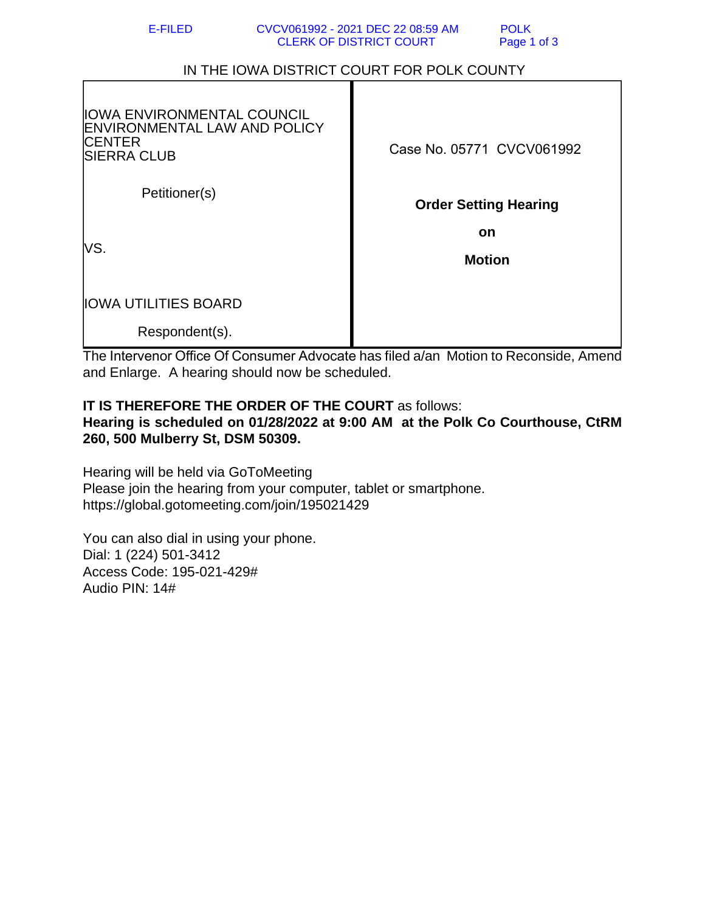| <b>POLK</b> |  |
|-------------|--|
| Page 1 of 3 |  |

## IN THE IOWA DISTRICT COURT FOR POLK COUNTY

| ∣IOWA ENVIRONMENTAL COUNCIL<br>∣ENVIRONMENTAL LAW AND POLICY<br><b>CENTER</b><br><b>SIERRA CLUB</b> | Case No. 05771 CVCV061992    |
|-----------------------------------------------------------------------------------------------------|------------------------------|
| Petitioner(s)                                                                                       | <b>Order Setting Hearing</b> |
| lVS.                                                                                                | on<br><b>Motion</b>          |
| <b>IOWA UTILITIES BOARD</b>                                                                         |                              |
| Respondent(s).                                                                                      |                              |

The Intervenor Office Of Consumer Advocate has filed a/an Motion to Reconside, Amend and Enlarge. A hearing should now be scheduled.

## **IT IS THEREFORE THE ORDER OF THE COURT** as follows: **Hearing is scheduled on 01/28/2022 at 9:00 AM at the Polk Co Courthouse, CtRM 260, 500 Mulberry St, DSM 50309.**

Hearing will be held via GoToMeeting Please join the hearing from your computer, tablet or smartphone. https://global.gotomeeting.com/join/195021429

You can also dial in using your phone. Dial: 1 (224) 501-3412 Access Code: 195-021-429# Audio PIN: 14#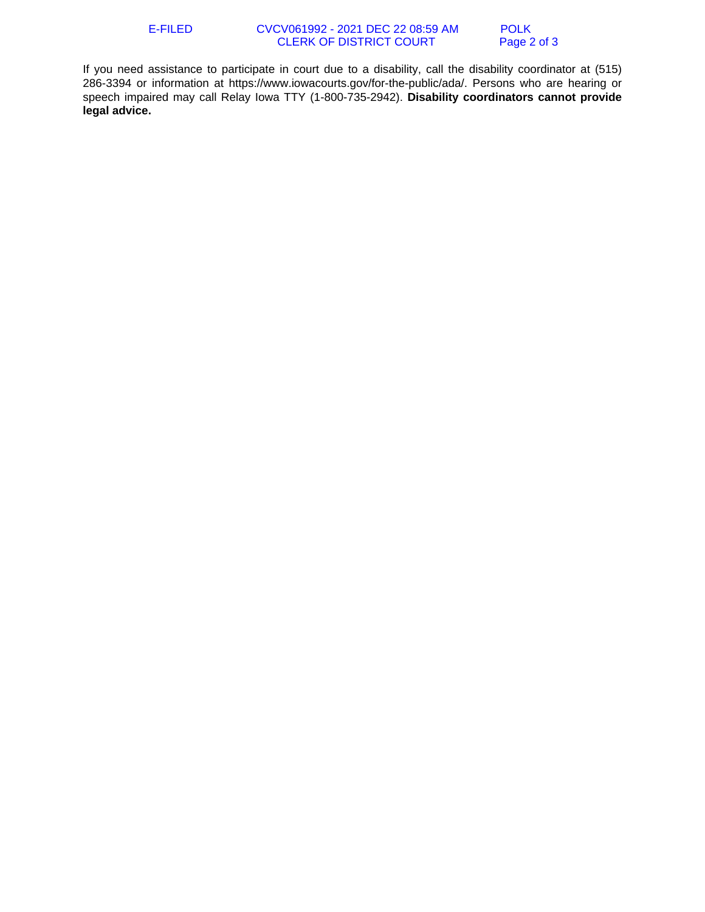If you need assistance to participate in court due to a disability, call the disability coordinator at (515) 286-3394 or information at https://www.iowacourts.gov/for-the-public/ada/. Persons who are hearing or speech impaired may call Relay Iowa TTY (1-800-735-2942). **Disability coordinators cannot provide legal advice.**